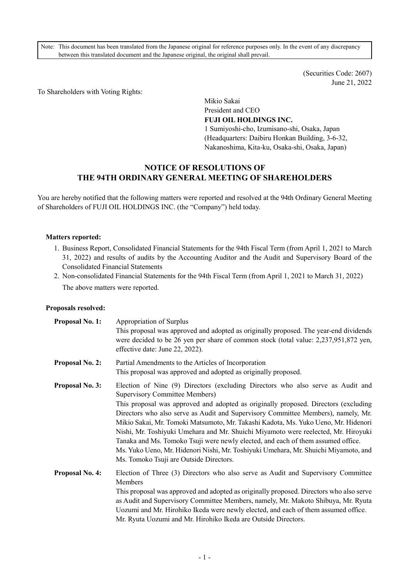Note: This document has been translated from the Japanese original for reference purposes only. In the event of any discrepancy between this translated document and the Japanese original, the original shall prevail.

> (Securities Code: 2607) June 21, 2022

To Shareholders with Voting Rights:

Mikio Sakai President and CEO **FUJI OIL HOLDINGS INC.** 

1 Sumiyoshi-cho, Izumisano-shi, Osaka, Japan (Headquarters: Daibiru Honkan Building, 3-6-32, Nakanoshima, Kita-ku, Osaka-shi, Osaka, Japan)

# **NOTICE OF RESOLUTIONS OF THE 94TH ORDINARY GENERAL MEETING OF SHAREHOLDERS**

You are hereby notified that the following matters were reported and resolved at the 94th Ordinary General Meeting of Shareholders of FUJI OIL HOLDINGS INC. (the "Company") held today.

#### **Matters reported:**

- 1. Business Report, Consolidated Financial Statements for the 94th Fiscal Term (from April 1, 2021 to March 31, 2022) and results of audits by the Accounting Auditor and the Audit and Supervisory Board of the Consolidated Financial Statements
- 2. Non-consolidated Financial Statements for the 94th Fiscal Term (from April 1, 2021 to March 31, 2022) The above matters were reported.

#### **Proposals resolved:**

| <b>Proposal No. 1:</b> | Appropriation of Surplus<br>This proposal was approved and adopted as originally proposed. The year-end dividends<br>were decided to be 26 yen per share of common stock (total value: 2,237,951,872 yen,<br>effective date: June 22, 2022).                                                                                                                                                                                                                                                                                                                                                                                                                                                           |
|------------------------|--------------------------------------------------------------------------------------------------------------------------------------------------------------------------------------------------------------------------------------------------------------------------------------------------------------------------------------------------------------------------------------------------------------------------------------------------------------------------------------------------------------------------------------------------------------------------------------------------------------------------------------------------------------------------------------------------------|
| <b>Proposal No. 2:</b> | Partial Amendments to the Articles of Incorporation<br>This proposal was approved and adopted as originally proposed.                                                                                                                                                                                                                                                                                                                                                                                                                                                                                                                                                                                  |
| Proposal No. 3:        | Election of Nine (9) Directors (excluding Directors who also serve as Audit and<br><b>Supervisory Committee Members)</b><br>This proposal was approved and adopted as originally proposed. Directors (excluding<br>Directors who also serve as Audit and Supervisory Committee Members), namely, Mr.<br>Mikio Sakai, Mr. Tomoki Matsumoto, Mr. Takashi Kadota, Ms. Yuko Ueno, Mr. Hidenori<br>Nishi, Mr. Toshiyuki Umehara and Mr. Shuichi Miyamoto were reelected, Mr. Hiroyuki<br>Tanaka and Ms. Tomoko Tsuji were newly elected, and each of them assumed office.<br>Ms. Yuko Ueno, Mr. Hidenori Nishi, Mr. Toshiyuki Umehara, Mr. Shuichi Miyamoto, and<br>Ms. Tomoko Tsuji are Outside Directors. |
| <b>Proposal No. 4:</b> | Election of Three (3) Directors who also serve as Audit and Supervisory Committee<br>Members<br>This proposal was approved and adopted as originally proposed. Directors who also serve<br>as Audit and Supervisory Committee Members, namely, Mr. Makoto Shibuya, Mr. Ryuta<br>Uozumi and Mr. Hirohiko Ikeda were newly elected, and each of them assumed office.<br>Mr. Ryuta Uozumi and Mr. Hirohiko Ikeda are Outside Directors.                                                                                                                                                                                                                                                                   |